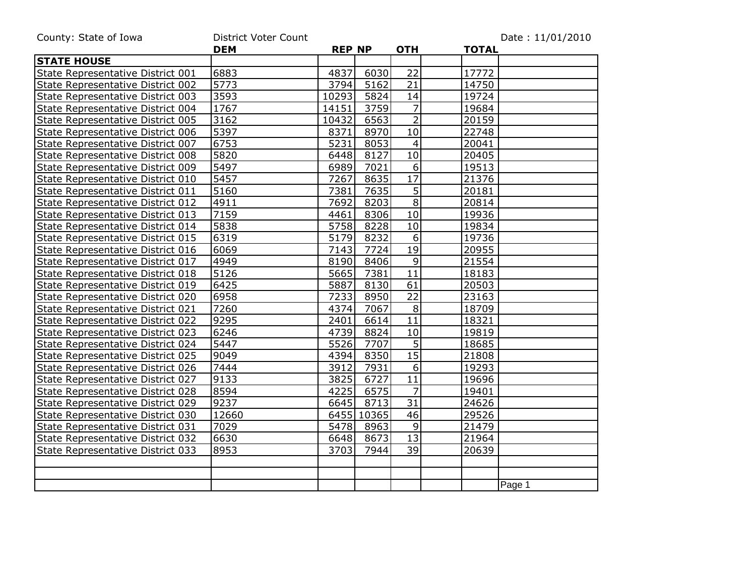| County: State of Iowa             | <b>District Voter Count</b> |               |            |                 |              | Date: 11/01/2010 |
|-----------------------------------|-----------------------------|---------------|------------|-----------------|--------------|------------------|
|                                   | <b>DEM</b>                  | <b>REP NP</b> |            | <b>OTH</b>      | <b>TOTAL</b> |                  |
| <b>STATE HOUSE</b>                |                             |               |            |                 |              |                  |
| State Representative District 001 | 6883                        | 4837          | 6030       | 22              | 17772        |                  |
| State Representative District 002 | 5773                        | 3794          | 5162       | 21              | 14750        |                  |
| State Representative District 003 | 3593                        | 10293         | 5824       | 14              | 19724        |                  |
| State Representative District 004 | 1767                        | 14151         | 3759       | $\overline{7}$  | 19684        |                  |
| State Representative District 005 | 3162                        | 10432         | 6563       | $\overline{2}$  | 20159        |                  |
| State Representative District 006 | 5397                        | 8371          | 8970       | 10              | 22748        |                  |
| State Representative District 007 | 6753                        | 5231          | 8053       | 4               | 20041        |                  |
| State Representative District 008 | 5820                        | 6448          | 8127       | $\overline{10}$ | 20405        |                  |
| State Representative District 009 | 5497                        | 6989          | 7021       | 6               | 19513        |                  |
| State Representative District 010 | 5457                        | 7267          | 8635       | 17              | 21376        |                  |
| State Representative District 011 | 5160                        | 7381          | 7635       | $\overline{5}$  | 20181        |                  |
| State Representative District 012 | 4911                        | 7692          | 8203       | 8 <sup>1</sup>  | 20814        |                  |
| State Representative District 013 | 7159                        | 4461          | 8306       | 10              | 19936        |                  |
| State Representative District 014 | 5838                        | 5758          | 8228       | 10              | 19834        |                  |
| State Representative District 015 | 6319                        | 5179          | 8232       | 6               | 19736        |                  |
| State Representative District 016 | 6069                        | 7143          | 7724       | 19              | 20955        |                  |
| State Representative District 017 | 4949                        | 8190          | 8406       | $\mathsf 9$     | 21554        |                  |
| State Representative District 018 | 5126                        | 5665          | 7381       | 11              | 18183        |                  |
| State Representative District 019 | 6425                        | 5887          | 8130       | 61              | 20503        |                  |
| State Representative District 020 | 6958                        | 7233          | 8950       | $\overline{22}$ | 23163        |                  |
| State Representative District 021 | 7260                        | 4374          | 7067       | $\,8\,$         | 18709        |                  |
| State Representative District 022 | 9295                        | 2401          | 6614       | 11              | 18321        |                  |
| State Representative District 023 | 6246                        | 4739          | 8824       | 10              | 19819        |                  |
| State Representative District 024 | 5447                        | 5526          | 7707       | $\overline{5}$  | 18685        |                  |
| State Representative District 025 | 9049                        | 4394          | 8350       | $\overline{15}$ | 21808        |                  |
| State Representative District 026 | 7444                        | 3912          | 7931       | 6               | 19293        |                  |
| State Representative District 027 | 9133                        | 3825          | 6727       | 11              | 19696        |                  |
| State Representative District 028 | 8594                        | 4225          | 6575       | $\overline{7}$  | 19401        |                  |
| State Representative District 029 | 9237                        | 6645          | 8713       | 31              | 24626        |                  |
| State Representative District 030 | 12660                       |               | 6455 10365 | 46              | 29526        |                  |
| State Representative District 031 | 7029                        | 5478          | 8963       | 9               | 21479        |                  |
| State Representative District 032 | 6630                        | 6648          | 8673       | 13              | 21964        |                  |
| State Representative District 033 | 8953                        | 3703          | 7944       | 39              | 20639        |                  |
|                                   |                             |               |            |                 |              |                  |
|                                   |                             |               |            |                 |              |                  |
|                                   |                             |               |            |                 |              | Page 1           |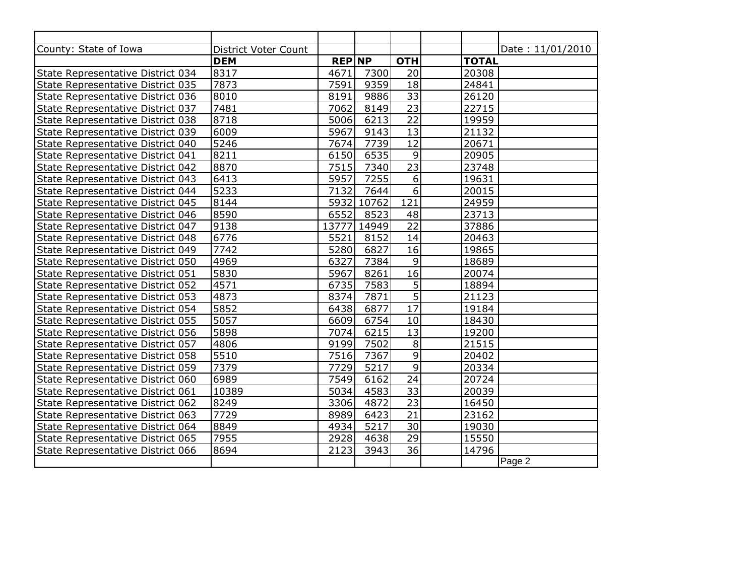| County: State of Iowa             | <b>District Voter Count</b> |               |            |                 | Date: 11/01/2010 |
|-----------------------------------|-----------------------------|---------------|------------|-----------------|------------------|
|                                   | <b>DEM</b>                  | <b>REP NP</b> |            | <b>OTH</b>      | <b>TOTAL</b>     |
| State Representative District 034 | 8317                        | 4671          | 7300       | 20              | 20308            |
| State Representative District 035 | 7873                        | 7591          | 9359       | 18              | 24841            |
| State Representative District 036 | 8010                        | 8191          | 9886       | $\overline{33}$ | 26120            |
| State Representative District 037 | 7481                        | 7062          | 8149       | $\overline{23}$ | 22715            |
| State Representative District 038 | 8718                        | 5006          | 6213       | $\overline{22}$ | 19959            |
| State Representative District 039 | 6009                        | 5967          | 9143       | 13              | 21132            |
| State Representative District 040 | 5246                        | 7674          | 7739       | $\overline{12}$ | 20671            |
| State Representative District 041 | 8211                        | 6150          | 6535       | 9               | 20905            |
| State Representative District 042 | 8870                        | 7515          | 7340       | $\overline{23}$ | 23748            |
| State Representative District 043 | 6413                        | 5957          | 7255       | 6               | 19631            |
| State Representative District 044 | 5233                        | 7132          | 7644       | 6               | 20015            |
| State Representative District 045 | 8144                        |               | 5932 10762 | 121             | 24959            |
| State Representative District 046 | 8590                        | 6552          | 8523       | 48              | 23713            |
| State Representative District 047 | 9138                        | 13777         | 14949      | 22              | 37886            |
| State Representative District 048 | 6776                        | 5521          | 8152       | 14              | 20463            |
| State Representative District 049 | 7742                        | 5280          | 6827       | 16              | 19865            |
| State Representative District 050 | 4969                        | 6327          | 7384       | $\overline{9}$  | 18689            |
| State Representative District 051 | 5830                        | 5967          | 8261       | 16              | 20074            |
| State Representative District 052 | 4571                        | 6735          | 7583       | $\overline{5}$  | 18894            |
| State Representative District 053 | 4873                        | 8374          | 7871       | $\overline{5}$  | 21123            |
| State Representative District 054 | 5852                        | 6438          | 6877       | $\overline{17}$ | 19184            |
| State Representative District 055 | 5057                        | 6609          | 6754       | 10              | 18430            |
| State Representative District 056 | 5898                        | 7074          | 6215       | 13              | 19200            |
| State Representative District 057 | 4806                        | 9199          | 7502       | $\, 8$          | 21515            |
| State Representative District 058 | 5510                        | 7516          | 7367       | $\overline{9}$  | 20402            |
| State Representative District 059 | 7379                        | 7729          | 5217       | $\overline{9}$  | 20334            |
| State Representative District 060 | 6989                        | 7549          | 6162       | 24              | 20724            |
| State Representative District 061 | 10389                       | 5034          | 4583       | $\overline{33}$ | 20039            |
| State Representative District 062 | 8249                        | 3306          | 4872       | 23              | 16450            |
| State Representative District 063 | 7729                        | 8989          | 6423       | 21              | 23162            |
| State Representative District 064 | 8849                        | 4934          | 5217       | 30              | 19030            |
| State Representative District 065 | 7955                        | 2928          | 4638       | 29              | 15550            |
| State Representative District 066 | 8694                        | 2123          | 3943       | 36              | 14796            |
|                                   |                             |               |            |                 | Page 2           |